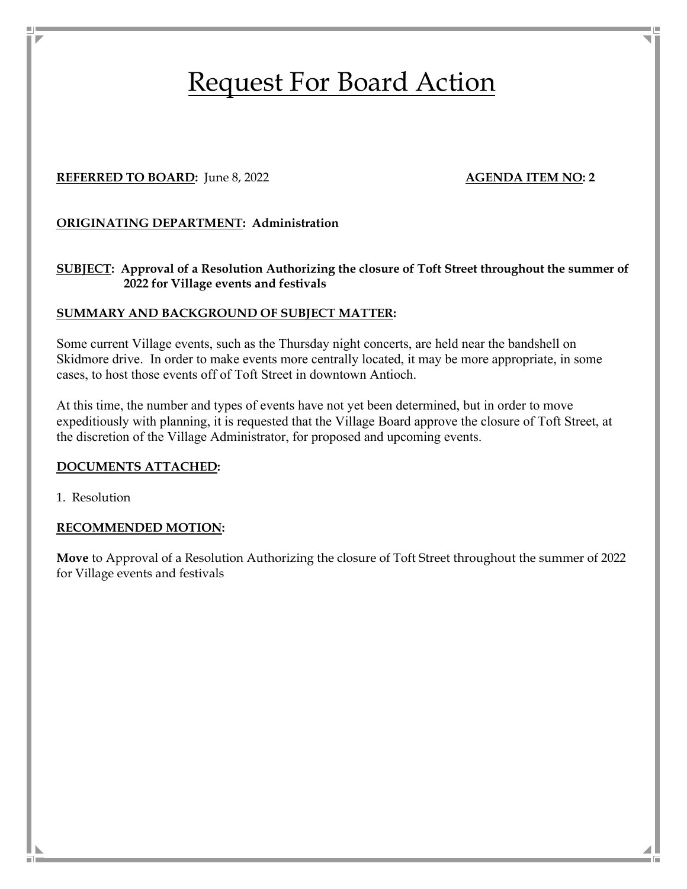# Request For Board Action

# **REFERRED TO BOARD:** June 8, 2022 **AGENDA ITEM NO: 2 AGENDA ITEM NO: 2**

# **ORIGINATING DEPARTMENT: Administration**

# **SUBJECT: Approval of a Resolution Authorizing the closure of Toft Street throughout the summer of 2022 for Village events and festivals**

#### **SUMMARY AND BACKGROUND OF SUBJECT MATTER:**

Some current Village events, such as the Thursday night concerts, are held near the bandshell on Skidmore drive. In order to make events more centrally located, it may be more appropriate, in some cases, to host those events off of Toft Street in downtown Antioch.

At this time, the number and types of events have not yet been determined, but in order to move expeditiously with planning, it is requested that the Village Board approve the closure of Toft Street, at the discretion of the Village Administrator, for proposed and upcoming events.

#### **DOCUMENTS ATTACHED:**

1. Resolution

### **RECOMMENDED MOTION:**

**Move** to Approval of a Resolution Authorizing the closure of Toft Street throughout the summer of 2022 for Village events and festivals